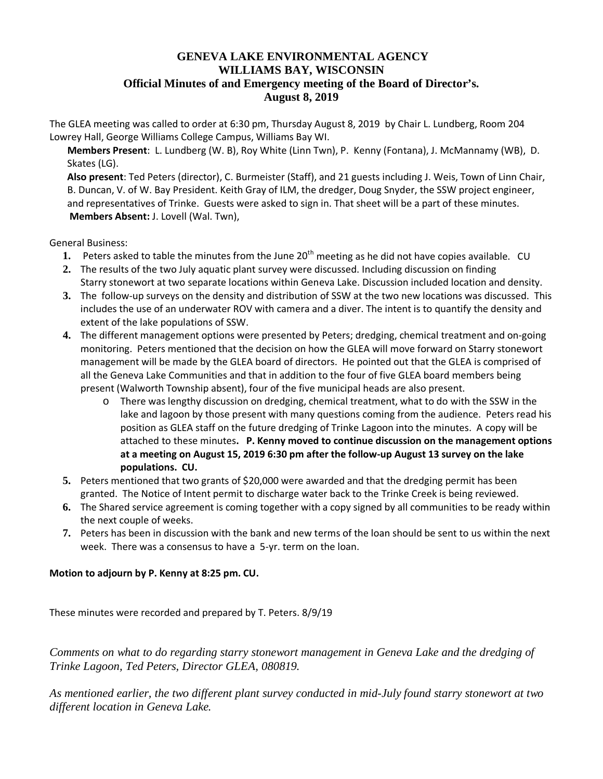## **GENEVA LAKE ENVIRONMENTAL AGENCY WILLIAMS BAY, WISCONSIN Official Minutes of and Emergency meeting of the Board of Director's. August 8, 2019**

The GLEA meeting was called to order at 6:30 pm, Thursday August 8, 2019 by Chair L. Lundberg, Room 204 Lowrey Hall, George Williams College Campus, Williams Bay WI.

**Members Present**: L. Lundberg (W. B), Roy White (Linn Twn), P. Kenny (Fontana), J. McMannamy (WB), D. Skates (LG).

**Also present**: Ted Peters (director), C. Burmeister (Staff), and 21 guests including J. Weis, Town of Linn Chair, B. Duncan, V. of W. Bay President. Keith Gray of ILM, the dredger, Doug Snyder, the SSW project engineer, and representatives of Trinke. Guests were asked to sign in. That sheet will be a part of these minutes. **Members Absent:** J. Lovell (Wal. Twn),

General Business:

- 1. Peters asked to table the minutes from the June 20<sup>th</sup> meeting as he did not have copies available. CU
- **2.** The results of the two July aquatic plant survey were discussed. Including discussion on finding Starry stonewort at two separate locations within Geneva Lake. Discussion included location and density.
- **3.** The follow-up surveys on the density and distribution of SSW at the two new locations was discussed. This includes the use of an underwater ROV with camera and a diver. The intent is to quantify the density and extent of the lake populations of SSW.
- **4.** The different management options were presented by Peters; dredging, chemical treatment and on-going monitoring. Peters mentioned that the decision on how the GLEA will move forward on Starry stonewort management will be made by the GLEA board of directors. He pointed out that the GLEA is comprised of all the Geneva Lake Communities and that in addition to the four of five GLEA board members being present (Walworth Township absent), four of the five municipal heads are also present.
	- o There was lengthy discussion on dredging, chemical treatment, what to do with the SSW in the lake and lagoon by those present with many questions coming from the audience. Peters read his position as GLEA staff on the future dredging of Trinke Lagoon into the minutes. A copy will be attached to these minutes**. P. Kenny moved to continue discussion on the management options at a meeting on August 15, 2019 6:30 pm after the follow-up August 13 survey on the lake populations. CU.**
- **5.** Peters mentioned that two grants of \$20,000 were awarded and that the dredging permit has been granted. The Notice of Intent permit to discharge water back to the Trinke Creek is being reviewed.
- **6.** The Shared service agreement is coming together with a copy signed by all communities to be ready within the next couple of weeks.
- **7.** Peters has been in discussion with the bank and new terms of the loan should be sent to us within the next week. There was a consensus to have a 5-yr. term on the loan.

## **Motion to adjourn by P. Kenny at 8:25 pm. CU.**

These minutes were recorded and prepared by T. Peters. 8/9/19

*Comments on what to do regarding starry stonewort management in Geneva Lake and the dredging of Trinke Lagoon, Ted Peters, Director GLEA, 080819.* 

*As mentioned earlier, the two different plant survey conducted in mid-July found starry stonewort at two different location in Geneva Lake.*